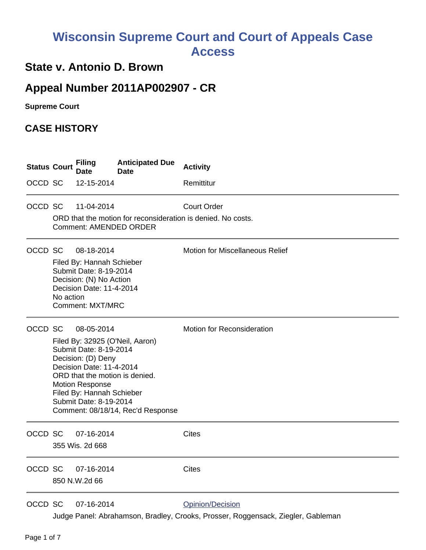## **Wisconsin Supreme Court and Court of Appeals Case Access**

## **State v. Antonio D. Brown**

## **Appeal Number 2011AP002907 - CR**

**Supreme Court** 

## **CASE HISTORY**

| <b>Status Court</b> |           | <b>Filing</b><br>Date                                                                                                                                                   | <b>Anticipated Due</b><br><b>Date</b>                                                                  | <b>Activity</b>                                                                    |
|---------------------|-----------|-------------------------------------------------------------------------------------------------------------------------------------------------------------------------|--------------------------------------------------------------------------------------------------------|------------------------------------------------------------------------------------|
| OCCD SC             |           | 12-15-2014                                                                                                                                                              |                                                                                                        | Remittitur                                                                         |
| OCCD SC             |           | 11-04-2014                                                                                                                                                              | <b>Comment: AMENDED ORDER</b>                                                                          | <b>Court Order</b><br>ORD that the motion for reconsideration is denied. No costs. |
| OCCD SC             | No action | 08-18-2014<br>Filed By: Hannah Schieber<br>Submit Date: 8-19-2014<br>Decision: (N) No Action<br>Decision Date: 11-4-2014<br><b>Comment: MXT/MRC</b>                     |                                                                                                        | Motion for Miscellaneous Relief                                                    |
| OCCD SC             |           | 08-05-2014<br>Submit Date: 8-19-2014<br>Decision: (D) Deny<br>Decision Date: 11-4-2014<br><b>Motion Response</b><br>Filed By: Hannah Schieber<br>Submit Date: 8-19-2014 | Filed By: 32925 (O'Neil, Aaron)<br>ORD that the motion is denied.<br>Comment: 08/18/14, Rec'd Response | <b>Motion for Reconsideration</b>                                                  |
| OCCD SC             |           | 07-16-2014<br>355 Wis. 2d 668                                                                                                                                           |                                                                                                        | <b>Cites</b>                                                                       |
| OCCD SC             |           | 07-16-2014<br>850 N.W.2d 66                                                                                                                                             |                                                                                                        | <b>Cites</b>                                                                       |
| OCCD SC             |           | 07-16-2014                                                                                                                                                              |                                                                                                        | Opinion/Decision                                                                   |

Judge Panel: Abrahamson, Bradley, Crooks, Prosser, Roggensack, Ziegler, Gableman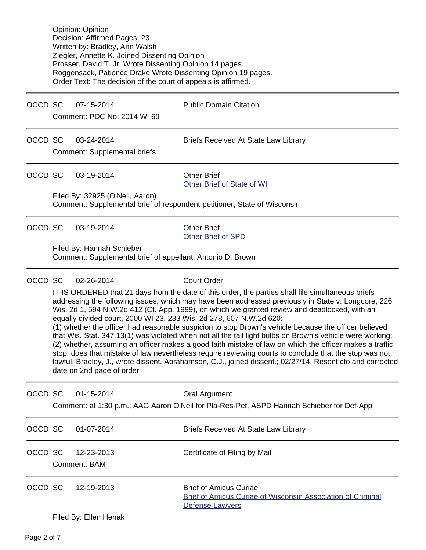Opinion: Opinion Decision: Affirmed Pages: 23 Written by: Bradley, Ann Walsh Ziegler, Annette K. Joined Dissenting Opinion Prosser, David T. Jr. Wrote Dissenting Opinion 14 pages. Roggensack, Patience Drake Wrote Dissenting Opinion 19 pages. Order Text: The decision of the court of appeals is affirmed.

OCCD SC 07-15-2014 Public Domain Citation

Comment: PDC No: 2014 WI 69

OCCD SC 03-24-2014 Briefs Received At State Law Library

Comment: Supplemental briefs

OCCD SC 03-19-2014 Other Brief

[Other Brief of State of WI](https://acefiling.wicourts.gov/document/eFiled/2011AP002907/109401)

Filed By: 32925 (O'Neil, Aaron) Comment: Supplemental brief of respondent-petitioner, State of Wisconsin

OCCD SC 03-19-2014 Other Brief

[Other Brief of SPD](https://acefiling.wicourts.gov/document/eFiled/2011AP002907/109411)

Filed By: Hannah Schieber Comment: Supplemental brief of appellant, Antonio D. Brown

OCCD SC 02-26-2014 Court Order

IT IS ORDERED that 21 days from the date of this order, the parties shall file simultaneous briefs addressing the following issues, which may have been addressed previously in State v. Longcore, 226 Wis. 2d 1, 594 N.W.2d 412 (Ct. App. 1999), on which we granted review and deadlocked, with an equally divided court, 2000 WI 23, 233 Wis. 2d 278, 607 N.W.2d 620:

(1) whether the officer had reasonable suspicion to stop Brown's vehicle because the officer believed that Wis. Stat. 347.13(1) was violated when not all the tail light bulbs on Brown's vehicle were working; (2) whether, assuming an officer makes a good faith mistake of law on which the officer makes a traffic stop, does that mistake of law nevertheless require reviewing courts to conclude that the stop was not lawful. Bradley, J., wrote dissent. Abrahamson, C.J., joined dissent.; 02/27/14, Resent cto and corrected date on 2nd page of order

| OCCD SC |                       | $01 - 15 - 2014$           | Oral Argument<br>Comment: at 1:30 p.m.; AAG Aaron O'Neil for Pla-Res-Pet, ASPD Hannah Schieber for Def-App             |  |
|---------|-----------------------|----------------------------|------------------------------------------------------------------------------------------------------------------------|--|
| OCCD SC |                       | $01 - 07 - 2014$           | <b>Briefs Received At State Law Library</b>                                                                            |  |
| OCCD SC |                       | 12-23-2013<br>Comment: BAM | Certificate of Filing by Mail                                                                                          |  |
| OCCD SC |                       | 12-19-2013                 | <b>Brief of Amicus Curiae</b><br><b>Brief of Amicus Curiae of Wisconsin Association of Criminal</b><br>Defense Lawyers |  |
|         | Filed By: Ellen Henak |                            |                                                                                                                        |  |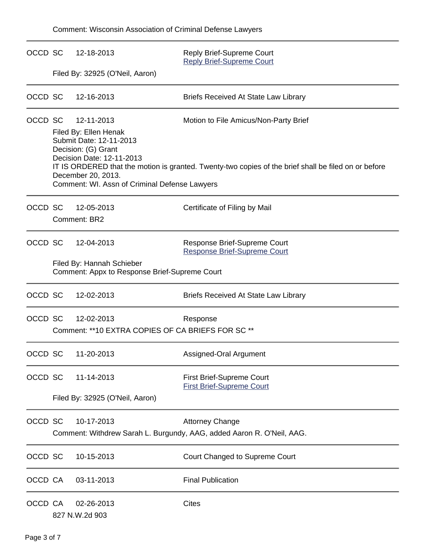| OCCD SC | 12-18-2013                                                                                                         | Reply Brief-Supreme Court<br><b>Reply Brief-Supreme Court</b>                                        |  |  |  |
|---------|--------------------------------------------------------------------------------------------------------------------|------------------------------------------------------------------------------------------------------|--|--|--|
|         | Filed By: 32925 (O'Neil, Aaron)                                                                                    |                                                                                                      |  |  |  |
| OCCD SC | 12-16-2013                                                                                                         | <b>Briefs Received At State Law Library</b>                                                          |  |  |  |
| OCCD SC | 12-11-2013<br>Filed By: Ellen Henak<br>Submit Date: 12-11-2013<br>Decision: (G) Grant<br>Decision Date: 12-11-2013 | Motion to File Amicus/Non-Party Brief                                                                |  |  |  |
|         | December 20, 2013.<br>Comment: WI. Assn of Criminal Defense Lawyers                                                | IT IS ORDERED that the motion is granted. Twenty-two copies of the brief shall be filed on or before |  |  |  |
| OCCD SC | 12-05-2013<br>Comment: BR2                                                                                         | Certificate of Filing by Mail                                                                        |  |  |  |
| OCCD SC | 12-04-2013                                                                                                         | Response Brief-Supreme Court<br><b>Response Brief-Supreme Court</b>                                  |  |  |  |
|         | Filed By: Hannah Schieber<br>Comment: Appx to Response Brief-Supreme Court                                         |                                                                                                      |  |  |  |
| OCCD SC | 12-02-2013                                                                                                         | <b>Briefs Received At State Law Library</b>                                                          |  |  |  |
| OCCD SC | 12-02-2013<br>Comment: **10 EXTRA COPIES OF CA BRIEFS FOR SC **                                                    | Response                                                                                             |  |  |  |
| OCCD SC | 11-20-2013                                                                                                         | Assigned-Oral Argument                                                                               |  |  |  |
| OCCD SC | 11-14-2013                                                                                                         | First Brief-Supreme Court<br><b>First Brief-Supreme Court</b>                                        |  |  |  |
|         | Filed By: 32925 (O'Neil, Aaron)                                                                                    |                                                                                                      |  |  |  |
| OCCD SC | 10-17-2013                                                                                                         | <b>Attorney Change</b><br>Comment: Withdrew Sarah L. Burgundy, AAG, added Aaron R. O'Neil, AAG.      |  |  |  |
| OCCD SC | 10-15-2013                                                                                                         | Court Changed to Supreme Court                                                                       |  |  |  |
| OCCD CA | 03-11-2013                                                                                                         | <b>Final Publication</b>                                                                             |  |  |  |
| OCCD CA | 02-26-2013<br>827 N.W.2d 903                                                                                       | Cites                                                                                                |  |  |  |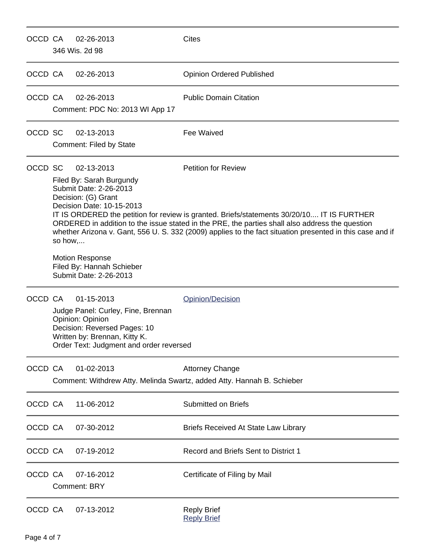| OCCD CA |                                                                                                                                                                                                                                                                                                                                                                                                                                                                                                                                                              | 02-26-2013<br>346 Wis. 2d 98                                                                                                                                                     | <b>Cites</b>                                                                                     |
|---------|--------------------------------------------------------------------------------------------------------------------------------------------------------------------------------------------------------------------------------------------------------------------------------------------------------------------------------------------------------------------------------------------------------------------------------------------------------------------------------------------------------------------------------------------------------------|----------------------------------------------------------------------------------------------------------------------------------------------------------------------------------|--------------------------------------------------------------------------------------------------|
| OCCD CA |                                                                                                                                                                                                                                                                                                                                                                                                                                                                                                                                                              | 02-26-2013                                                                                                                                                                       | <b>Opinion Ordered Published</b>                                                                 |
| OCCD CA |                                                                                                                                                                                                                                                                                                                                                                                                                                                                                                                                                              | 02-26-2013<br>Comment: PDC No: 2013 WI App 17                                                                                                                                    | <b>Public Domain Citation</b>                                                                    |
| OCCD SC |                                                                                                                                                                                                                                                                                                                                                                                                                                                                                                                                                              | 02-13-2013<br>Comment: Filed by State                                                                                                                                            | Fee Waived                                                                                       |
| OCCD SC | <b>Petition for Review</b><br>02-13-2013<br>Filed By: Sarah Burgundy<br>Submit Date: 2-26-2013<br>Decision: (G) Grant<br>Decision Date: 10-15-2013<br>IT IS ORDERED the petition for review is granted. Briefs/statements 30/20/10 IT IS FURTHER<br>ORDERED in addition to the issue stated in the PRE, the parties shall also address the question<br>whether Arizona v. Gant, 556 U. S. 332 (2009) applies to the fact situation presented in this case and if<br>so how,<br><b>Motion Response</b><br>Filed By: Hannah Schieber<br>Submit Date: 2-26-2013 |                                                                                                                                                                                  |                                                                                                  |
| OCCD CA |                                                                                                                                                                                                                                                                                                                                                                                                                                                                                                                                                              | 01-15-2013<br>Judge Panel: Curley, Fine, Brennan<br>Opinion: Opinion<br>Decision: Reversed Pages: 10<br>Written by: Brennan, Kitty K.<br>Order Text: Judgment and order reversed | Opinion/Decision                                                                                 |
| OCCD CA |                                                                                                                                                                                                                                                                                                                                                                                                                                                                                                                                                              | 01-02-2013                                                                                                                                                                       | <b>Attorney Change</b><br>Comment: Withdrew Atty. Melinda Swartz, added Atty. Hannah B. Schieber |
| OCCD CA |                                                                                                                                                                                                                                                                                                                                                                                                                                                                                                                                                              | 11-06-2012                                                                                                                                                                       | <b>Submitted on Briefs</b>                                                                       |
| OCCD CA |                                                                                                                                                                                                                                                                                                                                                                                                                                                                                                                                                              | 07-30-2012                                                                                                                                                                       | <b>Briefs Received At State Law Library</b>                                                      |
| OCCD CA |                                                                                                                                                                                                                                                                                                                                                                                                                                                                                                                                                              | 07-19-2012                                                                                                                                                                       | Record and Briefs Sent to District 1                                                             |
| OCCD CA |                                                                                                                                                                                                                                                                                                                                                                                                                                                                                                                                                              | 07-16-2012<br><b>Comment: BRY</b>                                                                                                                                                | Certificate of Filing by Mail                                                                    |
| OCCD CA |                                                                                                                                                                                                                                                                                                                                                                                                                                                                                                                                                              | 07-13-2012                                                                                                                                                                       | <b>Reply Brief</b><br><b>Reply Brief</b>                                                         |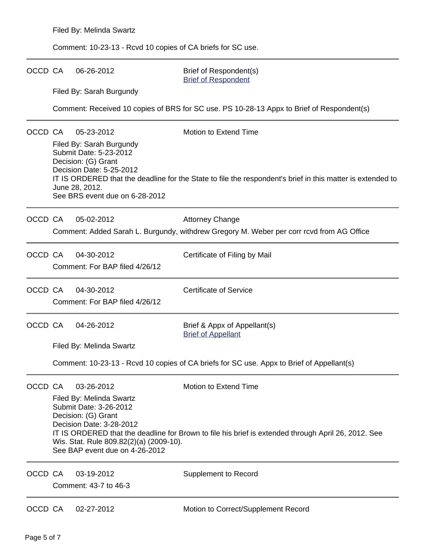Comment: 10-23-13 - Rcvd 10 copies of CA briefs for SC use.

| OCCD CA |                          | 06-26-2012                                                                                                                                                | Brief of Respondent(s)<br><b>Brief of Respondent</b>                                                       |  |  |  |
|---------|--------------------------|-----------------------------------------------------------------------------------------------------------------------------------------------------------|------------------------------------------------------------------------------------------------------------|--|--|--|
|         |                          | Filed By: Sarah Burgundy                                                                                                                                  |                                                                                                            |  |  |  |
|         |                          |                                                                                                                                                           | Comment: Received 10 copies of BRS for SC use. PS 10-28-13 Appx to Brief of Respondent(s)                  |  |  |  |
| OCCD CA |                          | 05-23-2012                                                                                                                                                | Motion to Extend Time                                                                                      |  |  |  |
|         |                          | Filed By: Sarah Burgundy<br>Submit Date: 5-23-2012<br>Decision: (G) Grant<br>Decision Date: 5-25-2012<br>June 28, 2012.<br>See BRS event due on 6-28-2012 | IT IS ORDERED that the deadline for the State to file the respondent's brief in this matter is extended to |  |  |  |
| OCCD CA |                          | 05-02-2012                                                                                                                                                | <b>Attorney Change</b>                                                                                     |  |  |  |
|         |                          |                                                                                                                                                           | Comment: Added Sarah L. Burgundy, withdrew Gregory M. Weber per corr rcvd from AG Office                   |  |  |  |
| OCCD CA |                          | 04-30-2012<br>Comment: For BAP filed 4/26/12                                                                                                              | Certificate of Filing by Mail                                                                              |  |  |  |
| OCCD CA |                          | 04-30-2012                                                                                                                                                | <b>Certificate of Service</b>                                                                              |  |  |  |
|         |                          | Comment: For BAP filed 4/26/12                                                                                                                            |                                                                                                            |  |  |  |
| OCCD CA |                          | 04-26-2012                                                                                                                                                | Brief & Appx of Appellant(s)<br><b>Brief of Appellant</b>                                                  |  |  |  |
|         | Filed By: Melinda Swartz |                                                                                                                                                           |                                                                                                            |  |  |  |
|         |                          | Comment: 10-23-13 - Rcvd 10 copies of CA briefs for SC use. Appx to Brief of Appellant(s)                                                                 |                                                                                                            |  |  |  |
| OCCD CA |                          | 03-26-2012                                                                                                                                                | Motion to Extend Time                                                                                      |  |  |  |
|         |                          | Filed By: Melinda Swartz<br>Submit Date: 3-26-2012                                                                                                        |                                                                                                            |  |  |  |
|         |                          | Decision: (G) Grant                                                                                                                                       |                                                                                                            |  |  |  |
|         |                          | Decision Date: 3-28-2012<br>IT IS ORDERED that the deadline for Brown to file his brief is extended through April 26, 2012. See                           |                                                                                                            |  |  |  |
|         |                          | Wis. Stat. Rule 809.82(2)(a) (2009-10).<br>See BAP event due on 4-26-2012                                                                                 |                                                                                                            |  |  |  |
| OCCD CA |                          | 03-19-2012                                                                                                                                                | <b>Supplement to Record</b>                                                                                |  |  |  |
|         | Comment: 43-7 to 46-3    |                                                                                                                                                           |                                                                                                            |  |  |  |
| OCCD CA |                          | 02-27-2012                                                                                                                                                | Motion to Correct/Supplement Record                                                                        |  |  |  |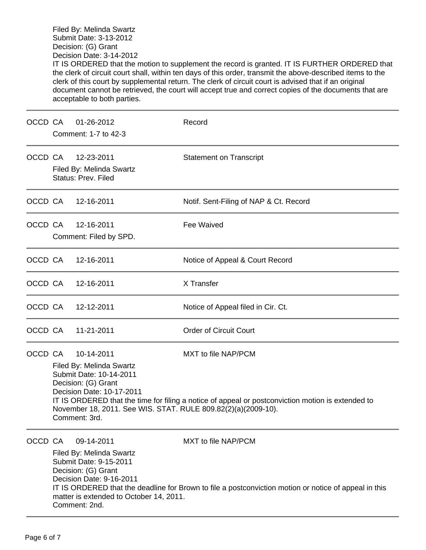Filed By: Melinda Swartz Submit Date: 3-13-2012 Decision: (G) Grant Decision Date: 3-14-2012 IT IS ORDERED that the motion to supplement the record is granted. IT IS FURTHER ORDERED that the clerk of circuit court shall, within ten days of this order, transmit the above-described items to the clerk of this court by supplemental return. The clerk of circuit court is advised that if an original document cannot be retrieved, the court will accept true and correct copies of the documents that are acceptable to both parties.

| OCCD CA |                                                                                                                                                                                                         | 01-26-2012<br>Comment: 1-7 to 42-3                                                                                                                                              | Record                                                                                                                       |
|---------|---------------------------------------------------------------------------------------------------------------------------------------------------------------------------------------------------------|---------------------------------------------------------------------------------------------------------------------------------------------------------------------------------|------------------------------------------------------------------------------------------------------------------------------|
| OCCD CA |                                                                                                                                                                                                         | 12-23-2011<br>Filed By: Melinda Swartz<br><b>Status: Prev. Filed</b>                                                                                                            | <b>Statement on Transcript</b>                                                                                               |
| OCCD CA |                                                                                                                                                                                                         | 12-16-2011                                                                                                                                                                      | Notif. Sent-Filing of NAP & Ct. Record                                                                                       |
| OCCD CA |                                                                                                                                                                                                         | 12-16-2011<br>Comment: Filed by SPD.                                                                                                                                            | Fee Waived                                                                                                                   |
| OCCD CA |                                                                                                                                                                                                         | 12-16-2011                                                                                                                                                                      | Notice of Appeal & Court Record                                                                                              |
| OCCD CA |                                                                                                                                                                                                         | 12-16-2011                                                                                                                                                                      | X Transfer                                                                                                                   |
| OCCD CA |                                                                                                                                                                                                         | 12-12-2011                                                                                                                                                                      | Notice of Appeal filed in Cir. Ct.                                                                                           |
| OCCD CA |                                                                                                                                                                                                         | 11-21-2011                                                                                                                                                                      | <b>Order of Circuit Court</b>                                                                                                |
| OCCD CA | 10-14-2011<br>Filed By: Melinda Swartz<br>Submit Date: 10-14-2011<br>Decision: (G) Grant<br>Decision Date: 10-17-2011<br>November 18, 2011. See WIS. STAT. RULE 809.82(2)(a)(2009-10).<br>Comment: 3rd. |                                                                                                                                                                                 | MXT to file NAP/PCM<br>IT IS ORDERED that the time for filing a notice of appeal or postconviction motion is extended to     |
| OCCD CA |                                                                                                                                                                                                         | 09-14-2011<br>Filed By: Melinda Swartz<br>Submit Date: 9-15-2011<br>Decision: (G) Grant<br>Decision Date: 9-16-2011<br>matter is extended to October 14, 2011.<br>Comment: 2nd. | MXT to file NAP/PCM<br>IT IS ORDERED that the deadline for Brown to file a postconviction motion or notice of appeal in this |